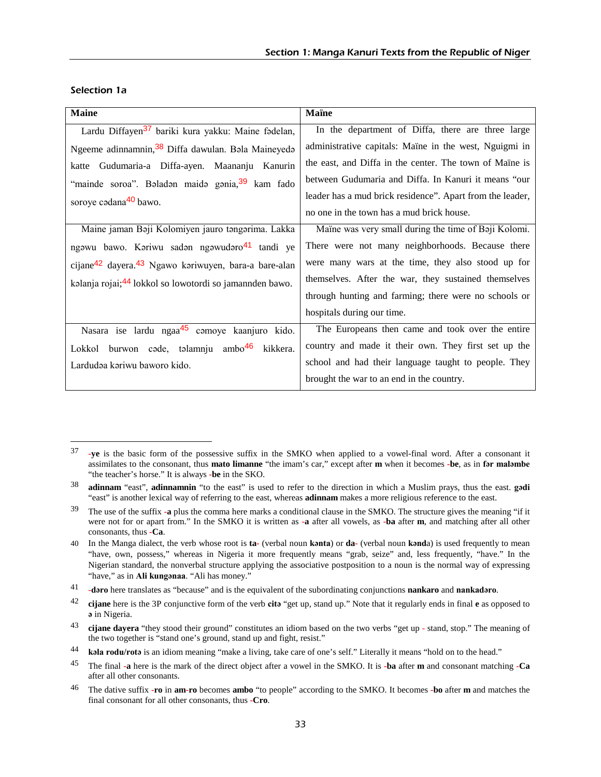| <b>Maine</b>                                                                 | <b>Maïne</b>                                              |
|------------------------------------------------------------------------------|-----------------------------------------------------------|
| Lardu Diffayen <sup>37</sup> bariki kura yakku: Maine fadelan,               | In the department of Diffa, there are three large         |
| Ngeeme adinnamnin, 38 Diffa dawulan. Bala Maineyeda                          | administrative capitals: Maine in the west, Nguigmi in    |
| Gudumaria-a Diffa-ayen. Maananju Kanurin<br>katte                            | the east, and Diffa in the center. The town of Maine is   |
| "mainde soroa". Baladan maida gania, 39 kam fado                             | between Gudumaria and Diffa. In Kanuri it means "our      |
| soroye cadana <sup>40</sup> bawo.                                            | leader has a mud brick residence". Apart from the leader, |
|                                                                              | no one in the town has a mud brick house.                 |
| Maine jaman Baji Kolomiyen jauro tangarima. Lakka                            | Maïne was very small during the time of Baji Kolomi.      |
| ngawu bawo. Kariwu sadan ngawudaro <sup>41</sup> tandi ye                    | There were not many neighborhoods. Because there          |
| cijane <sup>42</sup> dayera. <sup>43</sup> Ngawo kariwuyen, bara-a bare-alan | were many wars at the time, they also stood up for        |
| kalanja rojai; <sup>44</sup> lokkol so lowotordi so jamannden bawo.          | themselves. After the war, they sustained themselves      |
|                                                                              | through hunting and farming; there were no schools or     |
|                                                                              | hospitals during our time.                                |
| Nasara ise lardu ngaa <sup>45</sup> camoye kaanjuro kido.                    | The Europeans then came and took over the entire          |
| Lokkol burwon cade, talamnju ambo <sup>46</sup> kikkera.                     | country and made it their own. They first set up the      |
| Lardudaa kariwu baworo kido.                                                 | school and had their language taught to people. They      |
|                                                                              | brought the war to an end in the country.                 |

#### Selection 1a

 $\overline{a}$ 

<sup>37</sup> **-ye** is the basic form of the possessive suffix in the SMKO when applied to a vowel-final word. After a consonant it assimilates to the consonant, thus **mato limanne** "the imam's car," except after **m** when it becomes **-be**, as in **fər maləmbe** "the teacher's horse." It is always **-be** in the SKO.

<sup>38</sup> **adinnam** "east", **adinnamnin** "to the east" is used to refer to the direction in which a Muslim prays, thus the east. **gədi**  "east" is another lexical way of referring to the east, whereas **adinnam** makes a more religious reference to the east.

<sup>39</sup> The use of the suffix **-a** plus the comma here marks a conditional clause in the SMKO. The structure gives the meaning "if it were not for or apart from." In the SMKO it is written as **-a** after all vowels, as **-ba** after **m**, and matching after all other consonants, thus **-Ca**.

<sup>40</sup> In the Manga dialect, the verb whose root is **ta-** (verbal noun **kǝnta**) or **da-** (verbal noun **kǝnd**a) is used frequently to mean "have, own, possess," whereas in Nigeria it more frequently means "grab, seize" and, less frequently, "have." In the Nigerian standard, the nonverbal structure applying the associative postposition to a noun is the normal way of expressing "have," as in Ali kunganaa. "Ali has money."

<sup>41</sup> **-dəro** here translates as "because" and is the equivalent of the subordinating conjunctions **nankaro** and **nankadəro**.

<sup>42</sup> **cijane** here is the 3P conjunctive form of the verb **citǝ** "get up, stand up." Note that it regularly ends in final **e** as opposed to **ǝ** in Nigeria.

<sup>43</sup> **cijane dayera** "they stood their ground" constitutes an idiom based on the two verbs "get up - stand, stop." The meaning of the two together is "stand one's ground, stand up and fight, resist."

<sup>44</sup> **kǝla rodu/rotǝ** is an idiom meaning "make a living, take care of one's self." Literally it means "hold on to the head."

<sup>45</sup> The final **-a** here is the mark of the direct object after a vowel in the SMKO. It is **-ba** after **m** and consonant matching **-Ca** after all other consonants.

<sup>46</sup> The dative suffix **-ro** in **am-ro** becomes **ambo** "to people" according to the SMKO. It becomes **-bo** after **m** and matches the final consonant for all other consonants, thus **-Cro**.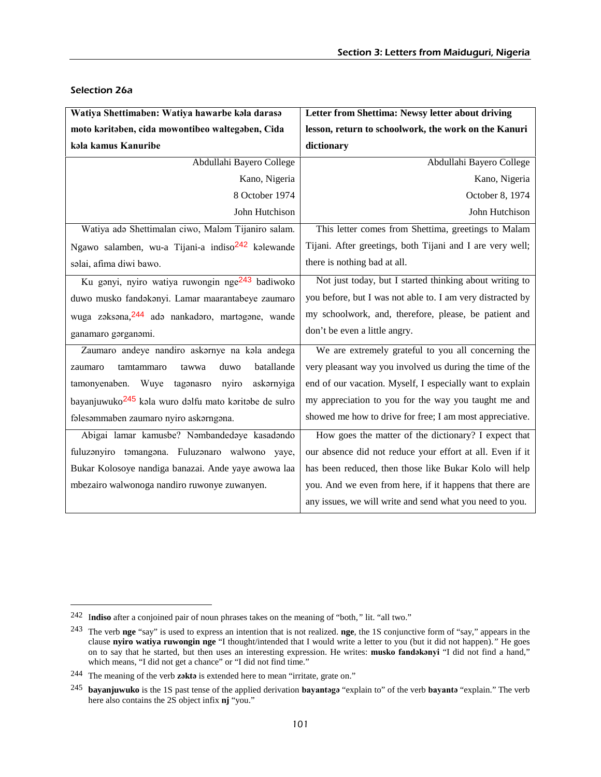| Watiya Shettimaben: Watiya hawarbe kala darasa                    | Letter from Shettima: Newsy letter about driving           |
|-------------------------------------------------------------------|------------------------------------------------------------|
| moto karitaben, cida mowontibeo waltegaben, Cida                  | lesson, return to schoolwork, the work on the Kanuri       |
| kala kamus Kanuribe                                               | dictionary                                                 |
| Abdullahi Bayero College                                          | Abdullahi Bayero College                                   |
| Kano, Nigeria                                                     | Kano, Nigeria                                              |
| 8 October 1974                                                    | October 8, 1974                                            |
| John Hutchison                                                    | John Hutchison                                             |
| Watiya adə Shettimalan ciwo, Maləm Tijaniro salam.                | This letter comes from Shettima, greetings to Malam        |
| Ngawo salamben, wu-a Tijani-a indiso <sup>242</sup> kalewande     | Tijani. After greetings, both Tijani and I are very well;  |
| salai, afima diwi bawo.                                           | there is nothing bad at all.                               |
| Ku gənyi, nyiro watiya ruwongin nge <sup>243</sup> badiwoko       | Not just today, but I started thinking about writing to    |
| duwo musko fandakanyi. Lamar maarantabeye zaumaro                 | you before, but I was not able to. I am very distracted by |
| wuga zaksana, 244 ada nankadaro, martagane, wande                 | my schoolwork, and, therefore, please, be patient and      |
| ganamaro gorganomi.                                               | don't be even a little angry.                              |
| Zaumaro andeye nandiro askarnye na kala andega                    | We are extremely grateful to you all concerning the        |
| batallande<br>duwo<br>tamtammaro<br>tawwa<br>zaumaro              | very pleasant way you involved us during the time of the   |
| nyiro<br>askarnyiga<br>tamonyenaben. Wuye<br>tagonasro            | end of our vacation. Myself, I especially want to explain  |
| bayanjuwuko <sup>245</sup> kala wuro dalfu mato karitabe de sulro | my appreciation to you for the way you taught me and       |
| fəlesəmmaben zaumaro nyiro askarngana.                            | showed me how to drive for free; I am most appreciative.   |
| Abigai lamar kamusbe? Nambandedaye kasadando                      | How goes the matter of the dictionary? I expect that       |
| fuluzanyiro tamangana. Fuluzanaro walwono yaye,                   | our absence did not reduce your effort at all. Even if it  |
| Bukar Kolosoye nandiga banazai. Ande yaye awowa laa               | has been reduced, then those like Bukar Kolo will help     |
| mbezairo walwonoga nandiro ruwonye zuwanyen.                      | you. And we even from here, if it happens that there are   |
|                                                                   | any issues, we will write and send what you need to you.   |

#### Selection 26a

 $\overline{a}$ 

<sup>242</sup> I**ndiso** after a conjoined pair of noun phrases takes on the meaning of "both,*"* lit. "all two."

<sup>243</sup> The verb **nge** "say" is used to express an intention that is not realized. **nge**, the 1S conjunctive form of "say," appears in the clause **nyiro watiya ruwongin nge** "I thought/intended that I would write a letter to you (but it did not happen).*"* He goes on to say that he started, but then uses an interesting expression. He writes: **musko fandəkənyi** "I did not find a hand," which means, "I did not get a chance" or "I did not find time."

<sup>244</sup> The meaning of the verb **zəktə** is extended here to mean "irritate, grate on."

<sup>245</sup> **bayanjuwuko** is the 1S past tense of the applied derivation **bayantəgə** "explain to" of the verb **bayantə** "explain." The verb here also contains the 2S object infix **nj** "you."